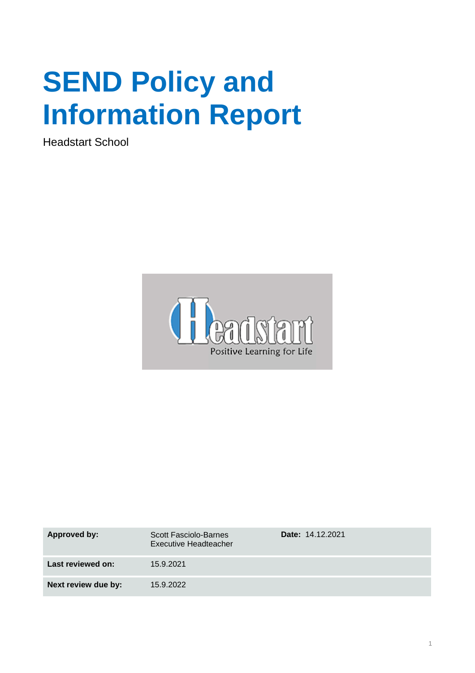# **SEND Policy and Information Report**

Headstart School



| Approved by:        | <b>Scott Fasciolo-Barnes</b><br>Executive Headteacher | <b>Date: 14.12.2021</b> |
|---------------------|-------------------------------------------------------|-------------------------|
| Last reviewed on:   | 15.9.2021                                             |                         |
| Next review due by: | 15.9.2022                                             |                         |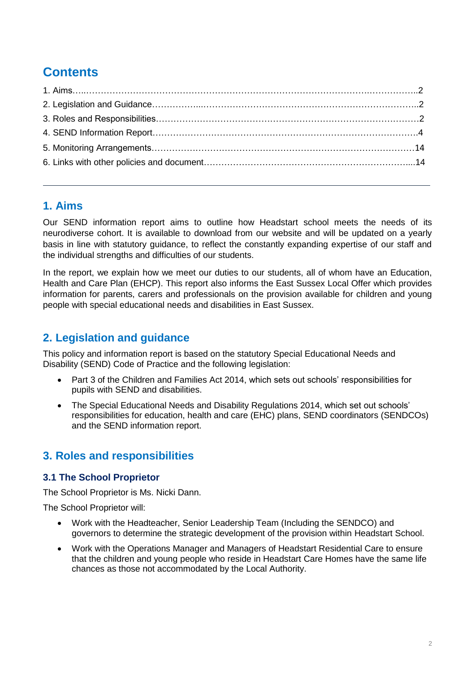# **Contents**

# **1. Aims**

Our SEND information report aims to outline how Headstart school meets the needs of its neurodiverse cohort. It is available to download from our website and will be updated on a yearly basis in line with statutory guidance, to reflect the constantly expanding expertise of our staff and the individual strengths and difficulties of our students.

In the report, we explain how we meet our duties to our students, all of whom have an Education, Health and Care Plan (EHCP). This report also informs the East Sussex Local Offer which provides information for parents, carers and professionals on the provision available for children and young people with special educational needs and disabilities in East Sussex.

# **2. Legislation and guidance**

This policy and information report is based on the statutory Special Educational Needs and Disability (SEND) Code of Practice and the following legislation:

- Part 3 of the Children and Families Act 2014, which sets out schools' responsibilities for pupils with SEND and disabilities.
- The Special Educational Needs and Disability Regulations 2014, which set out schools' responsibilities for education, health and care (EHC) plans, SEND coordinators (SENDCOs) and the SEND information report.

# **3. Roles and responsibilities**

## **3.1 The School Proprietor**

The School Proprietor is Ms. Nicki Dann.

The School Proprietor will:

- Work with the Headteacher, Senior Leadership Team (Including the SENDCO) and governors to determine the strategic development of the provision within Headstart School.
- Work with the Operations Manager and Managers of Headstart Residential Care to ensure that the children and young people who reside in Headstart Care Homes have the same life chances as those not accommodated by the Local Authority.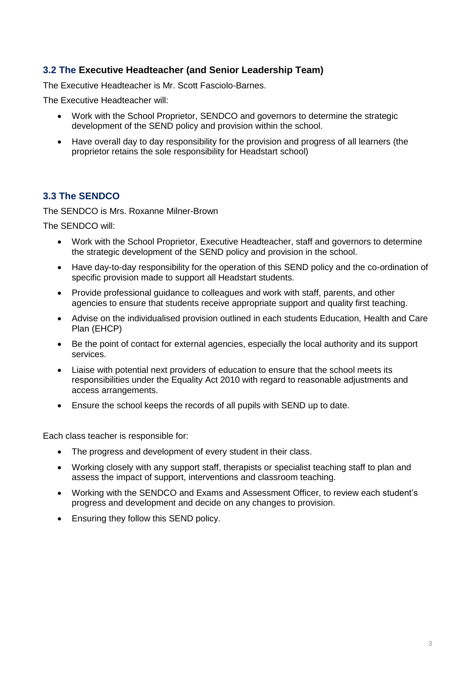## **3.2 The Executive Headteacher (and Senior Leadership Team)**

The Executive Headteacher is Mr. Scott Fasciolo-Barnes.

The Executive Headteacher will:

- Work with the School Proprietor, SENDCO and governors to determine the strategic development of the SEND policy and provision within the school.
- Have overall day to day responsibility for the provision and progress of all learners (the proprietor retains the sole responsibility for Headstart school)

## **3.3 The SENDCO**

The SENDCO is Mrs. Roxanne Milner-Brown

The SENDCO will:

- Work with the School Proprietor, Executive Headteacher, staff and governors to determine the strategic development of the SEND policy and provision in the school.
- Have day-to-day responsibility for the operation of this SEND policy and the co-ordination of specific provision made to support all Headstart students.
- Provide professional guidance to colleagues and work with staff, parents, and other agencies to ensure that students receive appropriate support and quality first teaching.
- Advise on the individualised provision outlined in each students Education, Health and Care Plan (EHCP)
- Be the point of contact for external agencies, especially the local authority and its support services.
- Liaise with potential next providers of education to ensure that the school meets its responsibilities under the Equality Act 2010 with regard to reasonable adjustments and access arrangements.
- Ensure the school keeps the records of all pupils with SEND up to date.

Each class teacher is responsible for:

- The progress and development of every student in their class.
- Working closely with any support staff, therapists or specialist teaching staff to plan and assess the impact of support, interventions and classroom teaching.
- Working with the SENDCO and Exams and Assessment Officer, to review each student's progress and development and decide on any changes to provision.
- Ensuring they follow this SEND policy.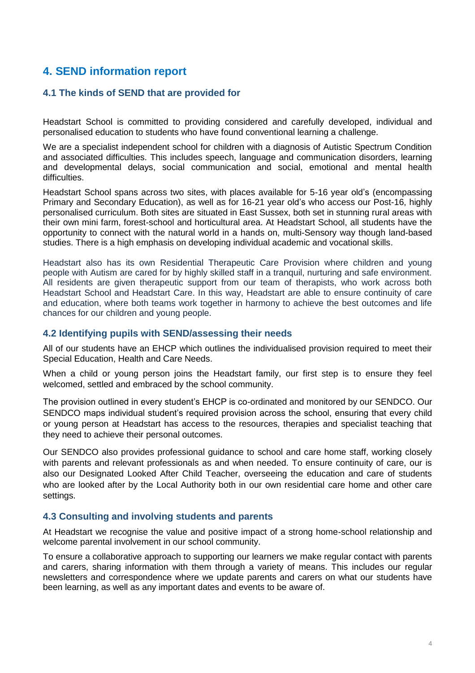# **4. SEND information report**

#### **4.1 The kinds of SEND that are provided for**

Headstart School is committed to providing considered and carefully developed, individual and personalised education to students who have found conventional learning a challenge.

We are a specialist independent school for children with a diagnosis of Autistic Spectrum Condition and associated difficulties. This includes speech, language and communication disorders, learning and developmental delays, social communication and social, emotional and mental health difficulties.

Headstart School spans across two sites, with places available for 5-16 year old's (encompassing Primary and Secondary Education), as well as for 16-21 year old's who access our Post-16, highly personalised curriculum. Both sites are situated in East Sussex, both set in stunning rural areas with their own mini farm, forest-school and horticultural area. At Headstart School, all students have the opportunity to connect with the natural world in a hands on, multi-Sensory way though land-based studies. There is a high emphasis on developing individual academic and vocational skills.

Headstart also has its own Residential Therapeutic Care Provision where children and young people with Autism are cared for by highly skilled staff in a tranquil, nurturing and safe environment. All residents are given therapeutic support from our team of therapists, who work across both Headstart School and Headstart Care. In this way, Headstart are able to ensure continuity of care and education, where both teams work together in harmony to achieve the best outcomes and life chances for our children and young people.

#### **4.2 Identifying pupils with SEND/assessing their needs**

All of our students have an EHCP which outlines the individualised provision required to meet their Special Education, Health and Care Needs.

When a child or young person joins the Headstart family, our first step is to ensure they feel welcomed, settled and embraced by the school community.

The provision outlined in every student's EHCP is co-ordinated and monitored by our SENDCO. Our SENDCO maps individual student's required provision across the school, ensuring that every child or young person at Headstart has access to the resources, therapies and specialist teaching that they need to achieve their personal outcomes.

Our SENDCO also provides professional guidance to school and care home staff, working closely with parents and relevant professionals as and when needed. To ensure continuity of care, our is also our Designated Looked After Child Teacher, overseeing the education and care of students who are looked after by the Local Authority both in our own residential care home and other care settings.

#### **4.3 Consulting and involving students and parents**

At Headstart we recognise the value and positive impact of a strong home-school relationship and welcome parental involvement in our school community.

To ensure a collaborative approach to supporting our learners we make regular contact with parents and carers, sharing information with them through a variety of means. This includes our regular newsletters and correspondence where we update parents and carers on what our students have been learning, as well as any important dates and events to be aware of.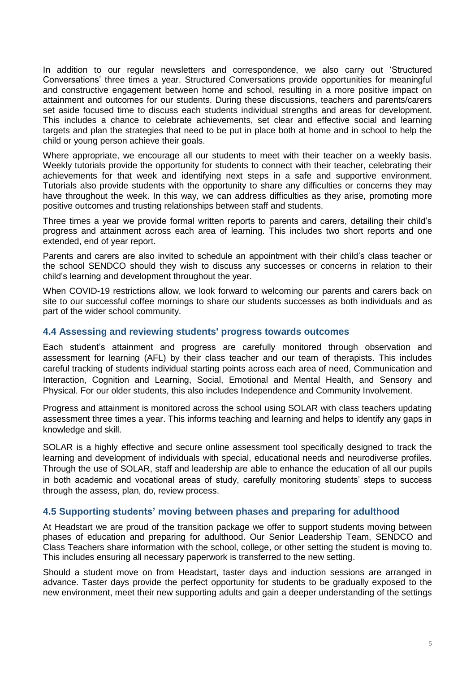In addition to our regular newsletters and correspondence, we also carry out 'Structured Conversations' three times a year. Structured Conversations provide opportunities for meaningful and constructive engagement between home and school, resulting in a more positive impact on attainment and outcomes for our students. During these discussions, teachers and parents/carers set aside focused time to discuss each students individual strengths and areas for development. This includes a chance to celebrate achievements, set clear and effective social and learning targets and plan the strategies that need to be put in place both at home and in school to help the child or young person achieve their goals.

Where appropriate, we encourage all our students to meet with their teacher on a weekly basis. Weekly tutorials provide the opportunity for students to connect with their teacher, celebrating their achievements for that week and identifying next steps in a safe and supportive environment. Tutorials also provide students with the opportunity to share any difficulties or concerns they may have throughout the week. In this way, we can address difficulties as they arise, promoting more positive outcomes and trusting relationships between staff and students.

Three times a year we provide formal written reports to parents and carers, detailing their child's progress and attainment across each area of learning. This includes two short reports and one extended, end of year report.

Parents and carers are also invited to schedule an appointment with their child's class teacher or the school SENDCO should they wish to discuss any successes or concerns in relation to their child's learning and development throughout the year.

When COVID-19 restrictions allow, we look forward to welcoming our parents and carers back on site to our successful coffee mornings to share our students successes as both individuals and as part of the wider school community.

#### **4.4 Assessing and reviewing students' progress towards outcomes**

Each student's attainment and progress are carefully monitored through observation and assessment for learning (AFL) by their class teacher and our team of therapists. This includes careful tracking of students individual starting points across each area of need, Communication and Interaction, Cognition and Learning, Social, Emotional and Mental Health, and Sensory and Physical. For our older students, this also includes Independence and Community Involvement.

Progress and attainment is monitored across the school using SOLAR with class teachers updating assessment three times a year. This informs teaching and learning and helps to identify any gaps in knowledge and skill.

SOLAR is a highly effective and secure online assessment tool specifically designed to track the learning and development of individuals with special, educational needs and neurodiverse profiles. Through the use of SOLAR, staff and leadership are able to enhance the education of all our pupils in both academic and vocational areas of study, carefully monitoring students' steps to success through the assess, plan, do, review process.

#### **4.5 Supporting students' moving between phases and preparing for adulthood**

At Headstart we are proud of the transition package we offer to support students moving between phases of education and preparing for adulthood. Our Senior Leadership Team, SENDCO and Class Teachers share information with the school, college, or other setting the student is moving to. This includes ensuring all necessary paperwork is transferred to the new setting.

Should a student move on from Headstart, taster days and induction sessions are arranged in advance. Taster days provide the perfect opportunity for students to be gradually exposed to the new environment, meet their new supporting adults and gain a deeper understanding of the settings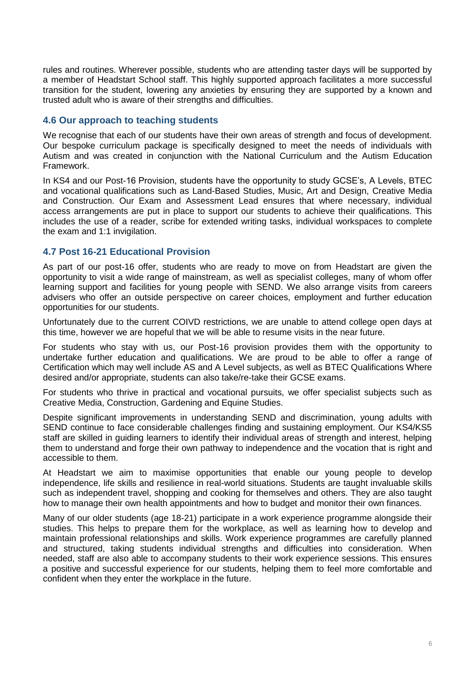rules and routines. Wherever possible, students who are attending taster days will be supported by a member of Headstart School staff. This highly supported approach facilitates a more successful transition for the student, lowering any anxieties by ensuring they are supported by a known and trusted adult who is aware of their strengths and difficulties.

#### **4.6 Our approach to teaching students**

We recognise that each of our students have their own areas of strength and focus of development. Our bespoke curriculum package is specifically designed to meet the needs of individuals with Autism and was created in conjunction with the National Curriculum and the Autism Education Framework.

In KS4 and our Post-16 Provision, students have the opportunity to study GCSE's, A Levels, BTEC and vocational qualifications such as Land-Based Studies, Music, Art and Design, Creative Media and Construction. Our Exam and Assessment Lead ensures that where necessary, individual access arrangements are put in place to support our students to achieve their qualifications. This includes the use of a reader, scribe for extended writing tasks, individual workspaces to complete the exam and 1:1 invigilation.

#### **4.7 Post 16-21 Educational Provision**

As part of our post-16 offer, students who are ready to move on from Headstart are given the opportunity to visit a wide range of mainstream, as well as specialist colleges, many of whom offer learning support and facilities for young people with SEND. We also arrange visits from careers advisers who offer an outside perspective on career choices, employment and further education opportunities for our students.

Unfortunately due to the current COIVD restrictions, we are unable to attend college open days at this time, however we are hopeful that we will be able to resume visits in the near future.

For students who stay with us, our Post-16 provision provides them with the opportunity to undertake further education and qualifications. We are proud to be able to offer a range of Certification which may well include AS and A Level subjects, as well as BTEC Qualifications Where desired and/or appropriate, students can also take/re-take their GCSE exams.

For students who thrive in practical and vocational pursuits, we offer specialist subjects such as Creative Media, Construction, Gardening and Equine Studies.

Despite significant improvements in understanding SEND and discrimination, young adults with SEND continue to face considerable challenges finding and sustaining employment. Our KS4/KS5 staff are skilled in guiding learners to identify their individual areas of strength and interest, helping them to understand and forge their own pathway to independence and the vocation that is right and accessible to them.

At Headstart we aim to maximise opportunities that enable our young people to develop independence, life skills and resilience in real-world situations. Students are taught invaluable skills such as independent travel, shopping and cooking for themselves and others. They are also taught how to manage their own health appointments and how to budget and monitor their own finances.

Many of our older students (age 18-21) participate in a work experience programme alongside their studies. This helps to prepare them for the workplace, as well as learning how to develop and maintain professional relationships and skills. Work experience programmes are carefully planned and structured, taking students individual strengths and difficulties into consideration. When needed, staff are also able to accompany students to their work experience sessions. This ensures a positive and successful experience for our students, helping them to feel more comfortable and confident when they enter the workplace in the future.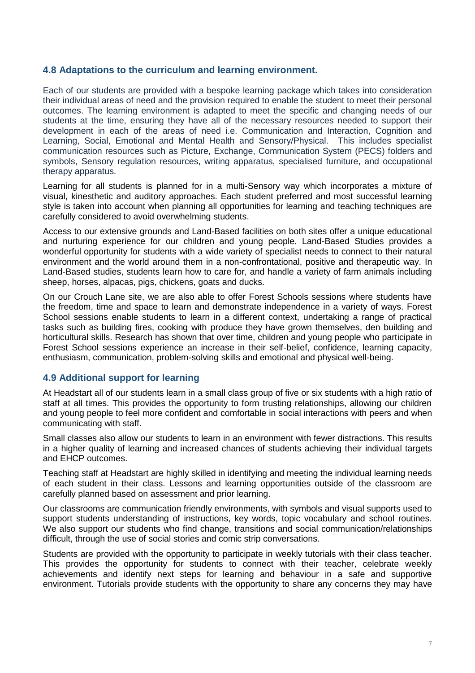#### **4.8 Adaptations to the curriculum and learning environment.**

Each of our students are provided with a bespoke learning package which takes into consideration their individual areas of need and the provision required to enable the student to meet their personal outcomes. The learning environment is adapted to meet the specific and changing needs of our students at the time, ensuring they have all of the necessary resources needed to support their development in each of the areas of need i.e. Communication and Interaction, Cognition and Learning, Social, Emotional and Mental Health and Sensory/Physical. This includes specialist communication resources such as Picture, Exchange, Communication System (PECS) folders and symbols, Sensory regulation resources, writing apparatus, specialised furniture, and occupational therapy apparatus.

Learning for all students is planned for in a multi-Sensory way which incorporates a mixture of visual, kinesthetic and auditory approaches. Each student preferred and most successful learning style is taken into account when planning all opportunities for learning and teaching techniques are carefully considered to avoid overwhelming students.

Access to our extensive grounds and Land-Based facilities on both sites offer a unique educational and nurturing experience for our children and young people. Land-Based Studies provides a wonderful opportunity for students with a wide variety of specialist needs to connect to their natural environment and the world around them in a non-confrontational, positive and therapeutic way. In Land-Based studies, students learn how to care for, and handle a variety of farm animals including sheep, horses, alpacas, pigs, chickens, goats and ducks.

On our Crouch Lane site, we are also able to offer Forest Schools sessions where students have the freedom, time and space to learn and demonstrate independence in a variety of ways. Forest School sessions enable students to learn in a different context, undertaking a range of practical tasks such as building fires, cooking with produce they have grown themselves, den building and horticultural skills. Research has shown that over time, children and young people who participate in Forest School sessions experience an increase in their self-belief, confidence, learning capacity, enthusiasm, communication, problem-solving skills and emotional and physical well-being.

#### **4.9 Additional support for learning**

At Headstart all of our students learn in a small class group of five or six students with a high ratio of staff at all times. This provides the opportunity to form trusting relationships, allowing our children and young people to feel more confident and comfortable in social interactions with peers and when communicating with staff.

Small classes also allow our students to learn in an environment with fewer distractions. This results in a higher quality of learning and increased chances of students achieving their individual targets and EHCP outcomes.

Teaching staff at Headstart are highly skilled in identifying and meeting the individual learning needs of each student in their class. Lessons and learning opportunities outside of the classroom are carefully planned based on assessment and prior learning.

Our classrooms are communication friendly environments, with symbols and visual supports used to support students understanding of instructions, key words, topic vocabulary and school routines. We also support our students who find change, transitions and social communication/relationships difficult, through the use of social stories and comic strip conversations.

Students are provided with the opportunity to participate in weekly tutorials with their class teacher. This provides the opportunity for students to connect with their teacher, celebrate weekly achievements and identify next steps for learning and behaviour in a safe and supportive environment. Tutorials provide students with the opportunity to share any concerns they may have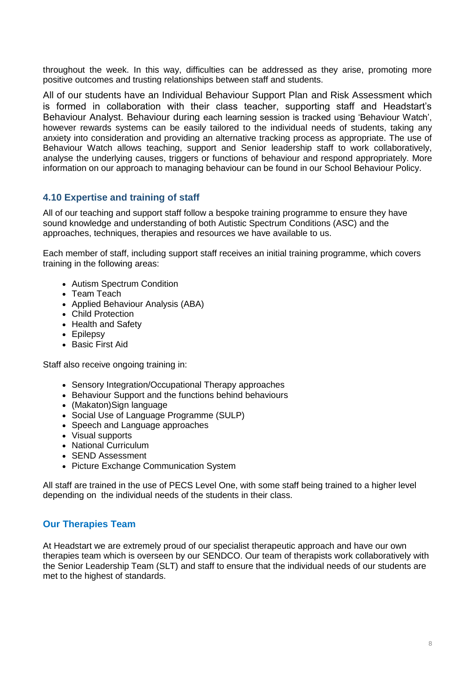throughout the week. In this way, difficulties can be addressed as they arise, promoting more positive outcomes and trusting relationships between staff and students.

All of our students have an Individual Behaviour Support Plan and Risk Assessment which is formed in collaboration with their class teacher, supporting staff and Headstart's Behaviour Analyst. Behaviour during each learning session is tracked using 'Behaviour Watch', however rewards systems can be easily tailored to the individual needs of students, taking any anxiety into consideration and providing an alternative tracking process as appropriate. The use of Behaviour Watch allows teaching, support and Senior leadership staff to work collaboratively, analyse the underlying causes, triggers or functions of behaviour and respond appropriately. More information on our approach to managing behaviour can be found in our School Behaviour Policy.

#### **4.10 Expertise and training of staff**

All of our teaching and support staff follow a bespoke training programme to ensure they have sound knowledge and understanding of both Autistic Spectrum Conditions (ASC) and the approaches, techniques, therapies and resources we have available to us.

Each member of staff, including support staff receives an initial training programme, which covers training in the following areas:

- Autism Spectrum Condition
- Team Teach
- Applied Behaviour Analysis (ABA)
- Child Protection
- Health and Safety
- Epilepsy
- Basic First Aid

Staff also receive ongoing training in:

- Sensory Integration/Occupational Therapy approaches
- Behaviour Support and the functions behind behaviours
- (Makaton)Sign language
- Social Use of Language Programme (SULP)
- Speech and Language approaches
- Visual supports
- National Curriculum
- SEND Assessment
- Picture Exchange Communication System

All staff are trained in the use of PECS Level One, with some staff being trained to a higher level depending on the individual needs of the students in their class.

#### **Our Therapies Team**

At Headstart we are extremely proud of our specialist therapeutic approach and have our own therapies team which is overseen by our SENDCO. Our team of therapists work collaboratively with the Senior Leadership Team (SLT) and staff to ensure that the individual needs of our students are met to the highest of standards.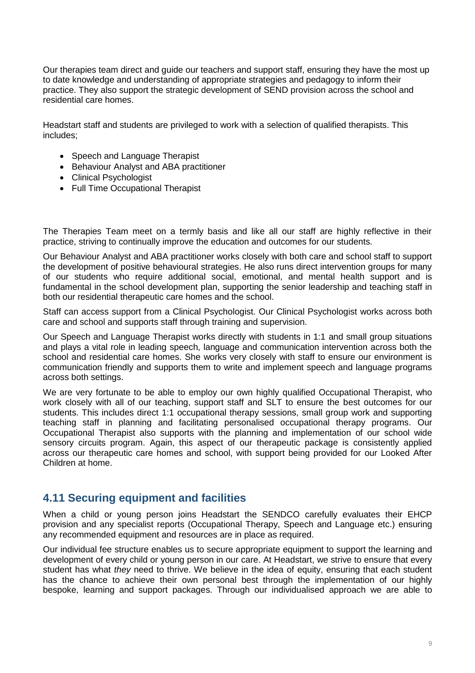Our therapies team direct and guide our teachers and support staff, ensuring they have the most up to date knowledge and understanding of appropriate strategies and pedagogy to inform their practice. They also support the strategic development of SEND provision across the school and residential care homes.

Headstart staff and students are privileged to work with a selection of qualified therapists. This includes;

- Speech and Language Therapist
- Behaviour Analyst and ABA practitioner
- Clinical Psychologist
- Full Time Occupational Therapist

The Therapies Team meet on a termly basis and like all our staff are highly reflective in their practice, striving to continually improve the education and outcomes for our students.

Our Behaviour Analyst and ABA practitioner works closely with both care and school staff to support the development of positive behavioural strategies. He also runs direct intervention groups for many of our students who require additional social, emotional, and mental health support and is fundamental in the school development plan, supporting the senior leadership and teaching staff in both our residential therapeutic care homes and the school.

Staff can access support from a Clinical Psychologist. Our Clinical Psychologist works across both care and school and supports staff through training and supervision.

Our Speech and Language Therapist works directly with students in 1:1 and small group situations and plays a vital role in leading speech, language and communication intervention across both the school and residential care homes. She works very closely with staff to ensure our environment is communication friendly and supports them to write and implement speech and language programs across both settings.

We are very fortunate to be able to employ our own highly qualified Occupational Therapist, who work closely with all of our teaching, support staff and SLT to ensure the best outcomes for our students. This includes direct 1:1 occupational therapy sessions, small group work and supporting teaching staff in planning and facilitating personalised occupational therapy programs. Our Occupational Therapist also supports with the planning and implementation of our school wide sensory circuits program. Again, this aspect of our therapeutic package is consistently applied across our therapeutic care homes and school, with support being provided for our Looked After Children at home.

## **4.11 Securing equipment and facilities**

When a child or young person joins Headstart the SENDCO carefully evaluates their EHCP provision and any specialist reports (Occupational Therapy, Speech and Language etc.) ensuring any recommended equipment and resources are in place as required.

Our individual fee structure enables us to secure appropriate equipment to support the learning and development of every child or young person in our care. At Headstart, we strive to ensure that every student has what *they* need to thrive. We believe in the idea of equity, ensuring that each student has the chance to achieve their own personal best through the implementation of our highly bespoke, learning and support packages. Through our individualised approach we are able to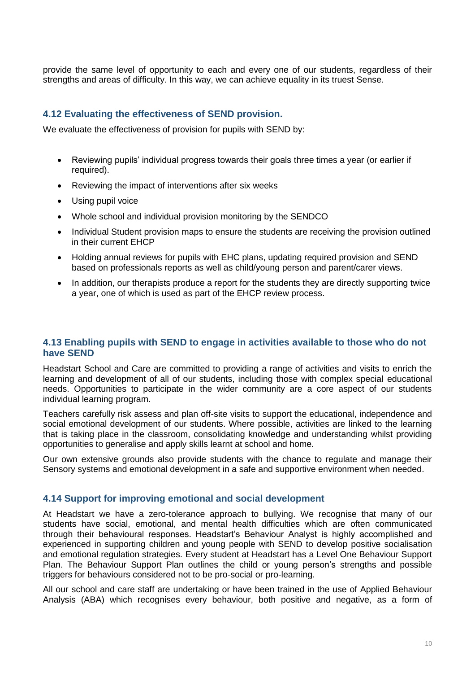provide the same level of opportunity to each and every one of our students, regardless of their strengths and areas of difficulty. In this way, we can achieve equality in its truest Sense.

#### **4.12 Evaluating the effectiveness of SEND provision.**

We evaluate the effectiveness of provision for pupils with SEND by:

- Reviewing pupils' individual progress towards their goals three times a year (or earlier if required).
- Reviewing the impact of interventions after six weeks
- Using pupil voice
- Whole school and individual provision monitoring by the SENDCO
- Individual Student provision maps to ensure the students are receiving the provision outlined in their current EHCP
- Holding annual reviews for pupils with EHC plans, updating required provision and SEND based on professionals reports as well as child/young person and parent/carer views.
- In addition, our therapists produce a report for the students they are directly supporting twice a year, one of which is used as part of the EHCP review process.

#### **4.13 Enabling pupils with SEND to engage in activities available to those who do not have SEND**

Headstart School and Care are committed to providing a range of activities and visits to enrich the learning and development of all of our students, including those with complex special educational needs. Opportunities to participate in the wider community are a core aspect of our students individual learning program.

Teachers carefully risk assess and plan off-site visits to support the educational, independence and social emotional development of our students. Where possible, activities are linked to the learning that is taking place in the classroom, consolidating knowledge and understanding whilst providing opportunities to generalise and apply skills learnt at school and home.

Our own extensive grounds also provide students with the chance to regulate and manage their Sensory systems and emotional development in a safe and supportive environment when needed.

#### **4.14 Support for improving emotional and social development**

At Headstart we have a zero-tolerance approach to bullying. We recognise that many of our students have social, emotional, and mental health difficulties which are often communicated through their behavioural responses. Headstart's Behaviour Analyst is highly accomplished and experienced in supporting children and young people with SEND to develop positive socialisation and emotional regulation strategies. Every student at Headstart has a Level One Behaviour Support Plan. The Behaviour Support Plan outlines the child or young person's strengths and possible triggers for behaviours considered not to be pro-social or pro-learning.

All our school and care staff are undertaking or have been trained in the use of Applied Behaviour Analysis (ABA) which recognises every behaviour, both positive and negative, as a form of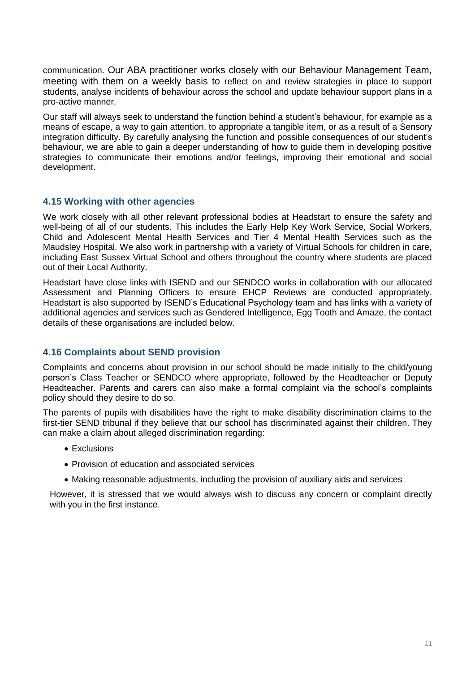communication. Our ABA practitioner works closely with our Behaviour Management Team, meeting with them on a weekly basis to reflect on and review strategies in place to support students, analyse incidents of behaviour across the school and update behaviour support plans in a pro-active manner.

Our staff will always seek to understand the function behind a student's behaviour, for example as a means of escape, a way to gain attention, to appropriate a tangible item, or as a result of a Sensory integration difficulty. By carefully analysing the function and possible consequences of our student's behaviour, we are able to gain a deeper understanding of how to guide them in developing positive strategies to communicate their emotions and/or feelings, improving their emotional and social development.

#### **4.15 Working with other agencies**

We work closely with all other relevant professional bodies at Headstart to ensure the safety and well-being of all of our students. This includes the Early Help Key Work Service, Social Workers, Child and Adolescent Mental Health Services and Tier 4 Mental Health Services such as the Maudsley Hospital. We also work in partnership with a variety of Virtual Schools for children in care, including East Sussex Virtual School and others throughout the country where students are placed out of their Local Authority.

Headstart have close links with ISEND and our SENDCO works in collaboration with our allocated Assessment and Planning Officers to ensure EHCP Reviews are conducted appropriately. Headstart is also supported by ISEND's Educational Psychology team and has links with a variety of additional agencies and services such as Gendered Intelligence, Egg Tooth and Amaze, the contact details of these organisations are included below.

#### **4.16 Complaints about SEND provision**

Complaints and concerns about provision in our school should be made initially to the child/young person's Class Teacher or SENDCO where appropriate, followed by the Headteacher or Deputy Headteacher. Parents and carers can also make a formal complaint via the school's complaints policy should they desire to do so.

The parents of pupils with disabilities have the right to make disability discrimination claims to the first-tier SEND tribunal if they believe that our school has discriminated against their children. They can make a claim about alleged discrimination regarding:

- Exclusions
- Provision of education and associated services
- Making reasonable adjustments, including the provision of auxiliary aids and services

However, it is stressed that we would always wish to discuss any concern or complaint directly with you in the first instance.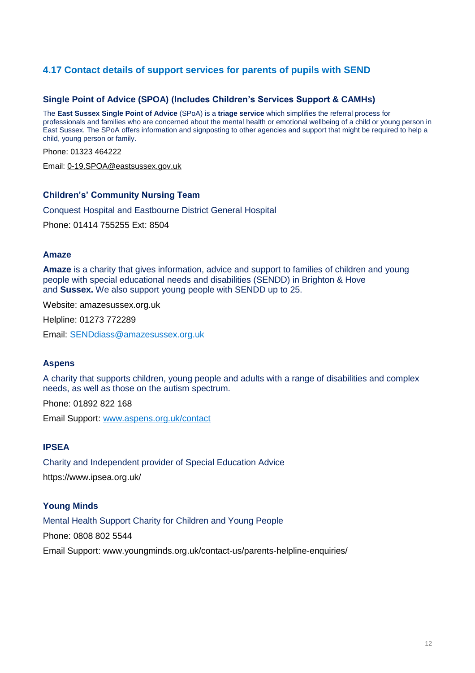## **4.17 Contact details of support services for parents of pupils with SEND**

#### **Single Point of Advice (SPOA) (Includes Children's Services Support & CAMHs)**

The **East Sussex Single Point of Advice** (SPoA) is a **triage service** which simplifies the referral process for professionals and families who are concerned about the mental health or emotional wellbeing of a child or young person in East Sussex. The SPoA offers information and signposting to other agencies and support that might be required to help a child, young person or family.

Phone: 01323 464222

Email: [0-19.SPOA@eastsussex.gov.uk](mailto:0-19.SPOA@eastsussex.gov.uk)

#### **Children's' Community Nursing Team**

Conquest Hospital and Eastbourne District General Hospital

Phone: 01414 755255 Ext: 8504

#### **Amaze**

**Amaze** is a charity that gives information, advice and support to families of children and young people with special educational needs and disabilities (SENDD) in Brighton & Hove and **Sussex.** We also support young people with SENDD up to 25.

Website: amazesussex.org.uk

Helpline: [01273 772289](https://amazesussex.org.uk/parent-carers/sendiass-helpline/)

Email: [SENDdiass@amazesussex.org.uk](mailto:sendiass@amazesussex.org.uk)

#### **Aspens**

A charity that supports children, young people and adults with a range of disabilities and complex needs, as well as those on the autism spectrum.

Phone: 01892 822 168

Email Support: [www.aspens.org.uk/contact](http://www.aspens.org.uk/contact)

#### **IPSEA**

Charity and Independent provider of Special Education Advice https://www.ipsea.org.uk/

#### **Young Minds**

Mental Health Support Charity for Children and Young People

Phone: 0808 802 5544

Email Support: www.youngminds.org.uk/contact-us/parents-helpline-enquiries/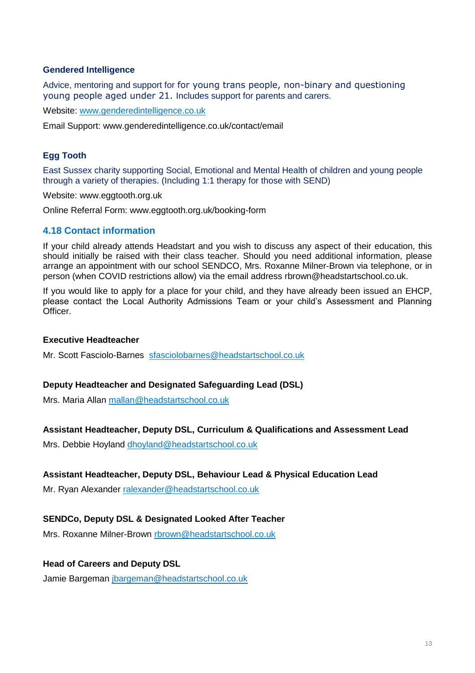#### **Gendered Intelligence**

Advice, mentoring and support for for young trans people, non-binary and questioning young people aged under 21. Includes support for parents and carers.

Website: [www.genderedintelligence.co.uk](http://www.genderedintelligence.co.uk/)

Email Support: www.genderedintelligence.co.uk/contact/email

#### **Egg Tooth**

East Sussex charity supporting Social, Emotional and Mental Health of children and young people through a variety of therapies. (Including 1:1 therapy for those with SEND)

Website: www.eggtooth.org.uk

Online Referral Form: www.eggtooth.org.uk/booking-form

#### **4.18 Contact information**

If your child already attends Headstart and you wish to discuss any aspect of their education, this should initially be raised with their class teacher. Should you need additional information, please arrange an appointment with our school SENDCO, Mrs. Roxanne Milner-Brown via telephone, or in person (when COVID restrictions allow) via the email address rbrown@headstartschool.co.uk.

If you would like to apply for a place for your child, and they have already been issued an EHCP, please contact the Local Authority Admissions Team or your child's Assessment and Planning Officer.

#### **Executive Headteacher**

Mr. Scott Fasciolo-Barnes [sfasciolobarnes@headstartschool.co.uk](mailto:sfasciolobarnes@headstartschool.co.uk)

#### **Deputy Headteacher and Designated Safeguarding Lead (DSL)**

Mrs. Maria Allan [mallan@headstartschool.co.uk](mailto:mallan@headstartschool.co.uk)

#### **Assistant Headteacher, Deputy DSL, Curriculum & Qualifications and Assessment Lead**

Mrs. Debbie Hoyland [dhoyland@headstartschool.co.uk](mailto:dhoyland@headstartschool.co.uk)

#### **Assistant Headteacher, Deputy DSL, Behaviour Lead & Physical Education Lead**

Mr. Ryan Alexander [ralexander@headstartschool.co.uk](mailto:ralexander@headstartschool.co.uk)

#### **SENDCo, Deputy DSL & Designated Looked After Teacher**

Mrs. Roxanne Milner-Brown [rbrown@headstartschool.co.uk](mailto:rbrown@headstartschool.co.uk)

#### **Head of Careers and Deputy DSL**

Jamie Bargeman [jbargeman@headstartschool.co.uk](mailto:jbargeman@headstartschool.co.uk)